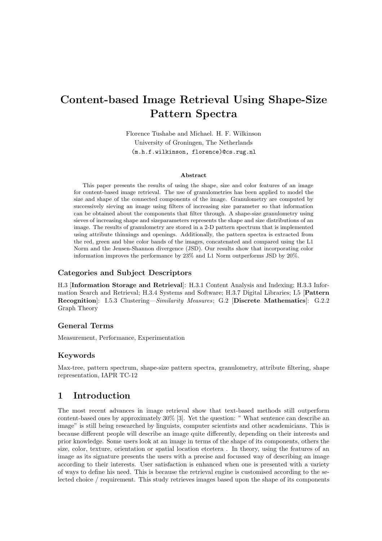# Content-based Image Retrieval Using Shape-Size Pattern Spectra

Florence Tushabe and Michael. H. F. Wilkinson University of Groningen, The Netherlands (m.h.f.wilkinson, florence)@cs.rug.nl

#### Abstract

This paper presents the results of using the shape, size and color features of an image for content-based image retrieval. The use of granulometries has been applied to model the size and shape of the connected components of the image. Granulometry are computed by successively sieving an image using filters of increasing size parameter so that information can be obtained about the components that filter through. A shape-size granulometry using sieves of increasing shape and sizeparameters represents the shape and size distributions of an image. The results of granulometry are stored in a 2-D pattern spectrum that is implemented using attribute thinnings and openings. Additionally, the pattern spectra is extracted from the red, green and blue color bands of the images, concatenated and compared using the L1 Norm and the Jensen-Shannon divergence (JSD). Our results show that incorporating color information improves the performance by 23% and L1 Norm outperforms JSD by 20%.

#### Categories and Subject Descriptors

H.3 [Information Storage and Retrieval]: H.3.1 Content Analysis and Indexing; H.3.3 Information Search and Retrieval; H.3.4 Systems and Software; H.3.7 Digital Libraries; I.5 [Pattern Recognition]: I.5.3 Clustering—Similarity Measures; G.2 [Discrete Mathematics]: G.2.2 Graph Theory

#### General Terms

Measurement, Performance, Experimentation

#### Keywords

Max-tree, pattern spectrum, shape-size pattern spectra, granulometry, attribute filtering, shape representation, IAPR TC-12

### 1 Introduction

The most recent advances in image retrieval show that text-based methods still outperform content-based ones by approximately 30% [3]. Yet the question: " What sentence can describe an image" is still being researched by linguists, computer scientists and other academicians. This is because different people will describe an image quite differently, depending on their interests and prior knowledge. Some users look at an image in terms of the shape of its components, others the size, color, texture, orientation or spatial location etcetera . In theory, using the features of an image as its signature presents the users with a precise and focussed way of describing an image according to their interests. User satisfaction is enhanced when one is presented with a variety of ways to define his need. This is because the retrieval engine is customised according to the selected choice / requirement. This study retrieves images based upon the shape of its components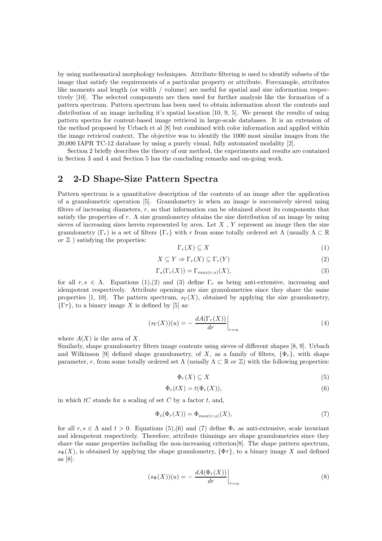by using mathematical morphology techniques. Attribute filtering is used to identify subsets of the image that satisfy the requirements of a particular property or attribute. Forexample, attributes like moments and length (or width / volume) are useful for spatial and size information respectively [10]. The selected components are then used for further analysis like the formation of a pattern spectrum. Pattern spectrum has been used to obtain information about the contents and distribution of an image including it's spatial location [10, 9, 5]. We present the results of using pattern spectra for content-based image retrieval in large-scale databases. It is an extension of the method proposed by Urbach et al [8] but combined with color information and applied within the image retrieval context. The objective was to identify the 1000 most similar images from the 20,000 IAPR TC-12 database by using a purely visual, fully automated modality [2].

Section 2 briefly describes the theory of our method, the experiments and results are contained in Section 3 and 4 and Section 5 has the concluding remarks and on-going work.

# 2 2-D Shape-Size Pattern Spectra

Pattern spectrum is a quantitative description of the contents of an image after the application of a granulometric operation [5]. Granulometry is when an image is successively sieved using filters of increasing diameters,  $r$ , so that information can be obtained about its components that satisfy the properties of r. A size granulometry obtains the size distribution of an image by using sieves of increasing sizes herein represented by area. Let  $X$ ,  $Y$  represent an image then the size granulometry  $(\Gamma_r)$  is a set of filters  $\{\Gamma_r\}$  with r from some totally ordered set  $\Lambda$  (usually  $\Lambda \subset \mathbb{R}$ or  $\mathbb Z$ ) satisfying the properties:

$$
\Gamma_r(X) \subseteq X \tag{1}
$$

$$
X \subseteq Y \Rightarrow \Gamma_r(X) \subseteq \Gamma_r(Y) \tag{2}
$$

$$
\Gamma_s(\Gamma_r(X)) = \Gamma_{max(r,s)}(X),\tag{3}
$$

for all  $r, s \in \Lambda$ . Equations (1), (2) and (3) define  $\Gamma_r$  as being anti-extensive, increasing and idempotent respectively. Attribute openings are size granulometries since they share the same properties [1, 10]. The pattern spectrum,  $s_{\Gamma}(X)$ , obtained by applying the size granulometry,  ${\{\Gamma \tau\}}$ , to a binary image X is defined by [5] as:

$$
(s_{\Gamma}(X))(u) = -\left. \frac{dA(\Gamma_r(X))}{dr} \right|_{r=u} \tag{4}
$$

where  $A(X)$  is the area of X.

Similarly, shape granulometry filters image contents using sieves of different shapes [8, 9]. Urbach and Wilkinson [9] defined shape granulometry, of X, as a family of filters,  $\{\Phi_r\}$ , with shape parameter, r, from some totally ordered set  $\Lambda$  (usually  $\Lambda \subset \mathbb{R}$  or  $\mathbb{Z}$ ) with the following properties:

$$
\Phi_r(X) \subseteq X \tag{5}
$$

$$
\Phi_r(tX) = t(\Phi_r(X)),\tag{6}
$$

in which  $tC$  stands for a scaling of set C by a factor t, and,

$$
\Phi_s(\Phi_r(X)) = \Phi_{max(r,s)}(X),\tag{7}
$$

for all  $r, s \in \Lambda$  and  $t > 0$ . Equations (5),(6) and (7) define  $\Phi_r$  as anti-extensive, scale invariant and idempotent respectively. Therefore, attribute thinnings are shape granulometries since they share the same properties including the non-increasing criterion[8]. The shape pattern spectrum,  $s_{\Phi}(X)$ , is obtained by applying the shape granulometry,  $\{\Phi \tau\}$ , to a binary image X and defined as [8]:

$$
(s_{\Phi}(X))(u) = -\frac{dA(\Phi_r(X))}{dr}\bigg|_{r=u} \tag{8}
$$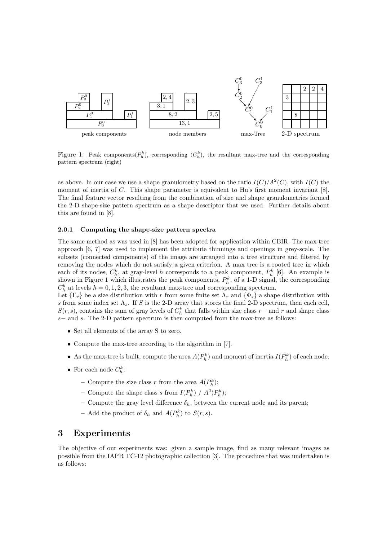

Figure 1: Peak components  $(P_h^k)$ , corresponding  $(C_h^k)$ , the resultant max-tree and the corresponding pattern spectrum (right)

as above. In our case we use a shape granulometry based on the ratio  $I(C)/A^2(C)$ , with  $I(C)$  the moment of inertia of C. This shape parameter is equivalent to Hu's first moment invariant [8]. The final feature vector resulting from the combination of size and shape granulometries formed the 2-D shape-size pattern spectrum as a shape descriptor that we used. Further details about this are found in [8].

#### 2.0.1 Computing the shape-size pattern spectra

The same method as was used in [8] has been adopted for application within CBIR. The max-tree approach [6, 7] was used to implement the attribute thinnings and openings in grey-scale. The subsets (connected components) of the image are arranged into a tree structure and filtered by removing the nodes which do not satisfy a given criterion. A max tree is a rooted tree in which each of its nodes,  $C_h^k$ , at gray-level h corresponds to a peak component,  $P_h^k$  [6]. An example is shown in Figure 1 which illustrates the peak components,  $P_h^k$ , of a 1-D signal, the corresponding  $C_h^k$  at levels  $h = 0, 1, 2, 3$ , the resultant max-tree and corresponding spectrum.

Let  $\{\Gamma_r\}$  be a size distribution with r from some finite set  $\Lambda_r$  and  $\{\Phi_s\}$  a shape distribution with s from some index set  $\Lambda_s$ . If S is the 2-D array that stores the final 2-D spectrum, then each cell,  $S(r, s)$ , contains the sum of gray levels of  $C_h^k$  that falls within size class r– and r and shape class s− and s. The 2-D pattern spectrum is then computed from the max-tree as follows:

- Set all elements of the array S to zero.
- Compute the max-tree according to the algorithm in [7].
- As the max-tree is built, compute the area  $A(P_h^k)$  and moment of inertia  $I(P_h^k)$  of each node.
- For each node  $C_h^k$ :
	- Compute the size class r from the area  $A(P_h^k)$ ;
	- Compute the shape class s from  $I(P_h^k) / A^2(P_h^k)$ ;
	- Compute the gray level difference  $\delta_h$ , between the current node and its parent;
	- Add the product of  $\delta_h$  and  $A(P_h^k)$  to  $S(r, s)$ .

### 3 Experiments

The objective of our experiments was: given a sample image, find as many relevant images as possible from the IAPR TC-12 photographic collection [3]. The procedure that was undertaken is as follows: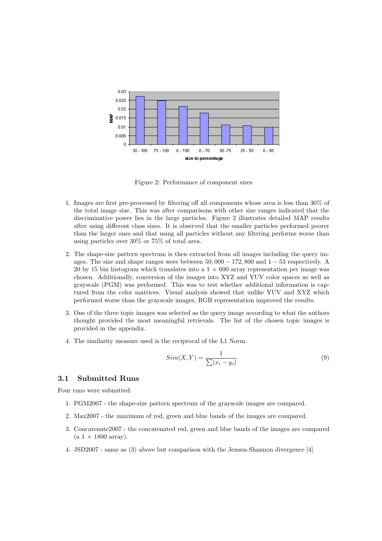

Figure 2: Performance of component sizes

- 1. Images are first pre-processed by filtering off all components whose area is less than 30% of the total image size. This was after comparisons with other size ranges indicated that the discriminative power lies in the large particles. Figure 2 illustrates detailed MAP results after using different class sizes. It is observed that the smaller particles performed poorer than the larger ones and that using all particles without any filtering performs worse than using particles over 30% or 75% of total area.
- 2. The shape-size pattern spectrum is then extracted from all images including the query images. The size and shape ranges were between  $50,000 - 172,800$  and  $1 - 53$  respectively. A 20 by 15 bin histogram which translates into a  $1 \times 600$  array representation per image was chosen. Additionally, conversion of the images into XYZ and YUV color spaces as well as grayscale (PGM) was performed. This was to test whether additional information is captured from the color matrices. Visual analysis showed that unlike YUV and XYZ which performed worse than the grayscale images, RGB representation improved the results.
- 3. One of the three topic images was selected as the query image according to what the authors thought provided the most meaningful retrievals. The list of the chosen topic images is provided in the appendix.
- 4. The similarity measure used is the reciprocal of the L1 Norm.

$$
Sim(X, Y) = \frac{1}{\sum (x_i - y_i)}
$$
\n(9)

#### 3.1 Submitted Runs

Four runs were submitted:

- 1. PGM2007 the shape-size pattern spectrum of the grayscale images are compared.
- 2. Max2007 the maximum of red, green and blue bands of the images are compared.
- 3. Concatenate2007 the concatenated red, green and blue bands of the images are compared  $(a 1 \times 1800 \text{ array}).$
- 4. JSD2007 same as (3) above but comparison with the Jensen-Shannon divergence [4].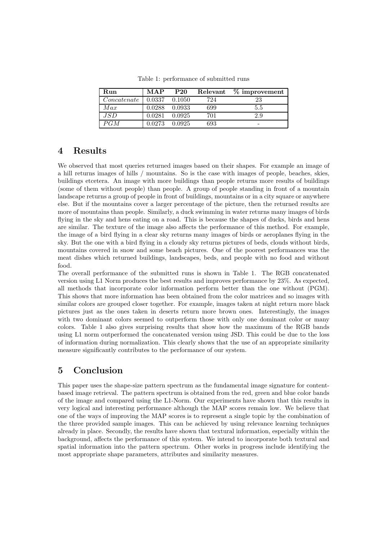Table 1: performance of submitted runs

| Run              | MAP    | $P_{20}$ | Relevant | $%$ improvement |
|------------------|--------|----------|----------|-----------------|
| Concatenate      | 0.0337 | 0.1050   | 724      | 23              |
| Max              | 0.0288 | 0.0933   | 699      | 5.5             |
| JSD              | 0.0281 | 0.0925   | 701      | 2.9             |
| $\overline{PG}M$ | 0.0273 | 0.0925   | 693      |                 |

# 4 Results

We observed that most queries returned images based on their shapes. For example an image of a hill returns images of hills / mountains. So is the case with images of people, beaches, skies, buildings etcetera. An image with more buildings than people returns more results of buildings (some of them without people) than people. A group of people standing in front of a mountain landscape returns a group of people in front of buildings, mountains or in a city square or anywhere else. But if the mountains cover a larger percentage of the picture, then the returned results are more of mountains than people. Similarly, a duck swimming in water returns many images of birds flying in the sky and hens eating on a road. This is because the shapes of ducks, birds and hens are similar. The texture of the image also affects the performance of this method. For example, the image of a bird flying in a clear sky returns many images of birds or aeroplanes flying in the sky. But the one with a bird flying in a cloudy sky returns pictures of beds, clouds without birds, mountains covered in snow and some beach pictures. One of the poorest performances was the meat dishes which returned buildings, landscapes, beds, and people with no food and without food.

The overall performance of the submitted runs is shown in Table 1. The RGB concatenated version using L1 Norm produces the best results and improves performance by 23%. As expected, all methods that incorporate color information perform better than the one without (PGM). This shows that more information has been obtained from the color matrices and so images with similar colors are grouped closer together. For example, images taken at night return more black pictures just as the ones taken in deserts return more brown ones. Interestingly, the images with two dominant colors seemed to outperform those with only one dominant color or many colors. Table 1 also gives surprising results that show how the maximum of the RGB bands using L1 norm outperformed the concatenated version using JSD. This could be due to the loss of information during normalization. This clearly shows that the use of an appropriate similarity measure significantly contributes to the performance of our system.

# 5 Conclusion

This paper uses the shape-size pattern spectrum as the fundamental image signature for contentbased image retrieval. The pattern spectrum is obtained from the red, green and blue color bands of the image and compared using the L1-Norm. Our experiments have shown that this results in very logical and interesting performance although the MAP scores remain low. We believe that one of the ways of improving the MAP scores is to represent a single topic by the combination of the three provided sample images. This can be achieved by using relevance learning techniques already in place. Secondly, the results have shown that textural information, especially within the background, affects the performance of this system. We intend to incorporate both textural and spatial information into the pattern spectrum. Other works in progress include identifying the most appropriate shape parameters, attributes and similarity measures.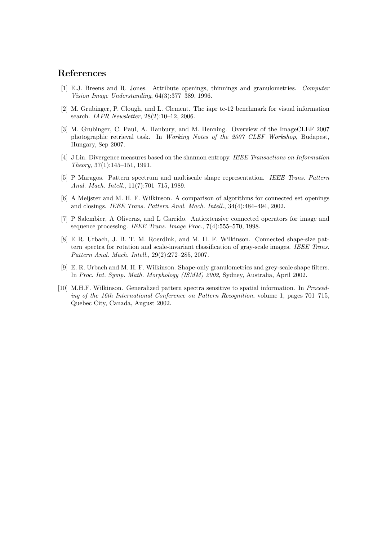### References

- [1] E.J. Breens and R. Jones. Attribute openings, thinnings and granulometries. Computer Vision Image Understanding, 64(3):377–389, 1996.
- [2] M. Grubinger, P. Clough, and L. Clement. The iapr tc-12 benchmark for visual information search. IAPR Newsletter, 28(2):10–12, 2006.
- [3] M. Grubinger, C. Paul, A. Hanbury, and M. Henning. Overview of the ImageCLEF 2007 photographic retrieval task. In Working Notes of the 2007 CLEF Workshop, Budapest, Hungary, Sep 2007.
- [4] J Lin. Divergence measures based on the shannon entropy. IEEE Transactions on Information Theory, 37(1):145–151, 1991.
- [5] P Maragos. Pattern spectrum and multiscale shape representation. IEEE Trans. Pattern Anal. Mach. Intell., 11(7):701–715, 1989.
- [6] A Meijster and M. H. F. Wilkinson. A comparison of algorithms for connected set openings and closings. IEEE Trans. Pattern Anal. Mach. Intell., 34(4):484–494, 2002.
- [7] P Salembier, A Oliveras, and L Garrido. Antiextensive connected operators for image and sequence processing. IEEE Trans. Image Proc., 7(4):555–570, 1998.
- [8] E R. Urbach, J. B. T. M. Roerdink, and M. H. F. Wilkinson. Connected shape-size pattern spectra for rotation and scale-invariant classification of gray-scale images. IEEE Trans. Pattern Anal. Mach. Intell., 29(2):272–285, 2007.
- [9] E. R. Urbach and M. H. F. Wilkinson. Shape-only granulometries and grey-scale shape filters. In Proc. Int. Symp. Math. Morphology (ISMM) 2002, Sydney, Australia, April 2002.
- [10] M.H.F. Wilkinson. Generalized pattern spectra sensitive to spatial information. In Proceeding of the 16th International Conference on Pattern Recognition, volume 1, pages 701–715, Quebec City, Canada, August 2002.